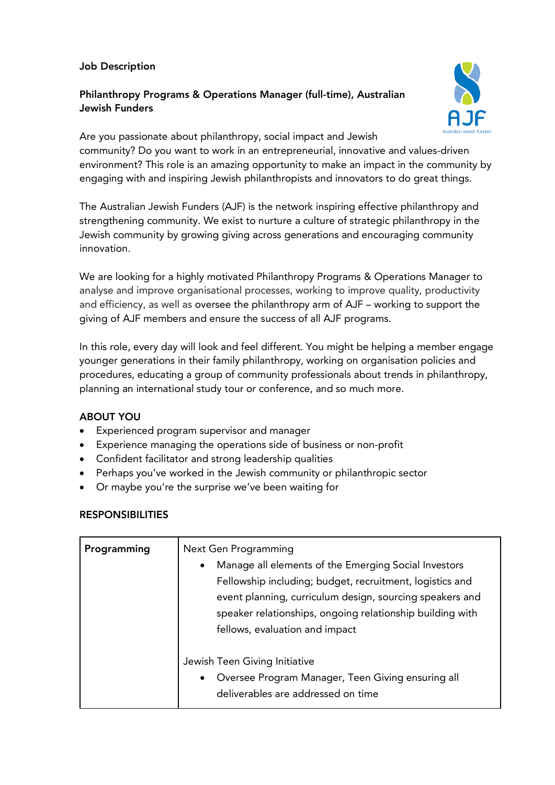### Job Description

# Philanthropy Programs & Operations Manager (full-time), Australian Jewish Funders



Are you passionate about philanthropy, social impact and Jewish community? Do you want to work in an entrepreneurial, innovative and values-driven environment? This role is an amazing opportunity to make an impact in the community by engaging with and inspiring Jewish philanthropists and innovators to do great things.

The Australian Jewish Funders (AJF) is the network inspiring effective philanthropy and strengthening community. We exist to nurture a culture of strategic philanthropy in the Jewish community by growing giving across generations and encouraging community innovation.

We are looking for a highly motivated Philanthropy Programs & Operations Manager to analyse and improve organisational processes, working to improve quality, productivity and efficiency, as well as oversee the philanthropy arm of AJF – working to support the giving of AJF members and ensure the success of all AJF programs.

In this role, every day will look and feel different. You might be helping a member engage younger generations in their family philanthropy, working on organisation policies and procedures, educating a group of community professionals about trends in philanthropy, planning an international study tour or conference, and so much more.

# ABOUT YOU

- Experienced program supervisor and manager
- Experience managing the operations side of business or non-profit
- Confident facilitator and strong leadership qualities
- Perhaps you've worked in the Jewish community or philanthropic sector
- Or maybe you're the surprise we've been waiting for

# **RESPONSIBILITIES**

| Programming | Next Gen Programming<br>Manage all elements of the Emerging Social Investors<br>$\bullet$<br>Fellowship including; budget, recruitment, logistics and<br>event planning, curriculum design, sourcing speakers and<br>speaker relationships, ongoing relationship building with<br>fellows, evaluation and impact |
|-------------|------------------------------------------------------------------------------------------------------------------------------------------------------------------------------------------------------------------------------------------------------------------------------------------------------------------|
|             | Jewish Teen Giving Initiative<br>Oversee Program Manager, Teen Giving ensuring all<br>$\bullet$<br>deliverables are addressed on time                                                                                                                                                                            |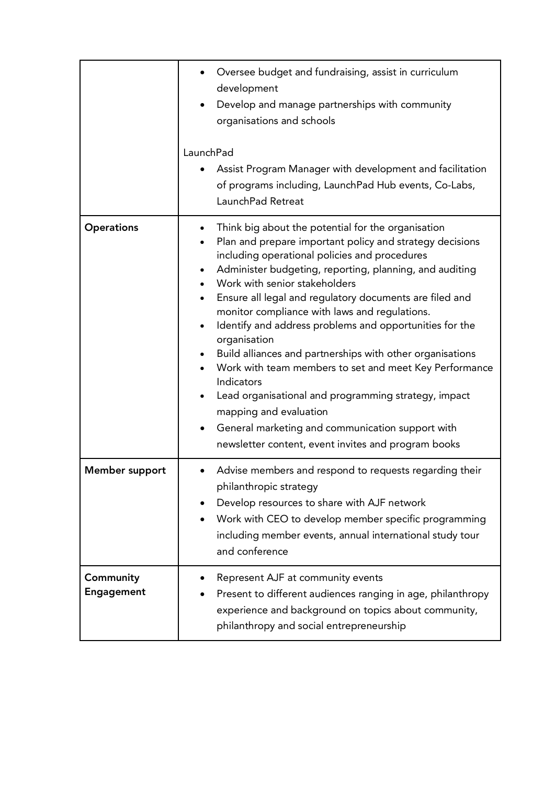|                                | Oversee budget and fundraising, assist in curriculum<br>development<br>Develop and manage partnerships with community<br>organisations and schools<br>LaunchPad<br>Assist Program Manager with development and facilitation<br>of programs including, LaunchPad Hub events, Co-Labs,<br>LaunchPad Retreat                                                                                                                                                                                                                                                                                                                                                                                                                                                                            |
|--------------------------------|--------------------------------------------------------------------------------------------------------------------------------------------------------------------------------------------------------------------------------------------------------------------------------------------------------------------------------------------------------------------------------------------------------------------------------------------------------------------------------------------------------------------------------------------------------------------------------------------------------------------------------------------------------------------------------------------------------------------------------------------------------------------------------------|
| <b>Operations</b>              | Think big about the potential for the organisation<br>Plan and prepare important policy and strategy decisions<br>including operational policies and procedures<br>Administer budgeting, reporting, planning, and auditing<br>Work with senior stakeholders<br>Ensure all legal and regulatory documents are filed and<br>monitor compliance with laws and regulations.<br>Identify and address problems and opportunities for the<br>organisation<br>Build alliances and partnerships with other organisations<br>Work with team members to set and meet Key Performance<br>Indicators<br>Lead organisational and programming strategy, impact<br>mapping and evaluation<br>General marketing and communication support with<br>newsletter content, event invites and program books |
| <b>Member support</b>          | Advise members and respond to requests regarding their<br>٠<br>philanthropic strategy<br>Develop resources to share with AJF network<br>Work with CEO to develop member specific programming<br>including member events, annual international study tour<br>and conference                                                                                                                                                                                                                                                                                                                                                                                                                                                                                                           |
| Community<br><b>Engagement</b> | Represent AJF at community events<br>Present to different audiences ranging in age, philanthropy<br>experience and background on topics about community,<br>philanthropy and social entrepreneurship                                                                                                                                                                                                                                                                                                                                                                                                                                                                                                                                                                                 |